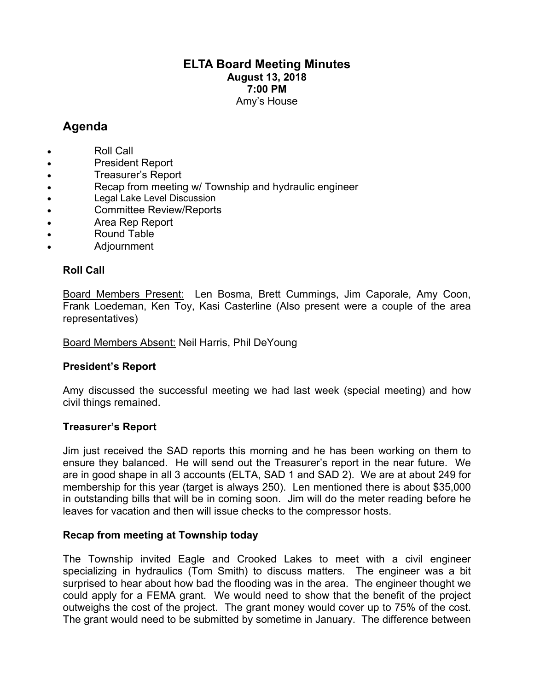## **ELTA Board Meeting Minutes August 13, 2018 7:00 PM** Amy's House

# **Agenda**

- Roll Call
- President Report
- Treasurer's Report
- Recap from meeting w/ Township and hydraulic engineer
- Legal Lake Level Discussion
- Committee Review/Reports
- Area Rep Report
- Round Table
- Adjournment

### **Roll Call**

Board Members Present: Len Bosma, Brett Cummings, Jim Caporale, Amy Coon, Frank Loedeman, Ken Toy, Kasi Casterline (Also present were a couple of the area representatives)

Board Members Absent: Neil Harris, Phil DeYoung

#### **President's Report**

Amy discussed the successful meeting we had last week (special meeting) and how civil things remained.

#### **Treasurer's Report**

Jim just received the SAD reports this morning and he has been working on them to ensure they balanced. He will send out the Treasurer's report in the near future. We are in good shape in all 3 accounts (ELTA, SAD 1 and SAD 2). We are at about 249 for membership for this year (target is always 250). Len mentioned there is about \$35,000 in outstanding bills that will be in coming soon. Jim will do the meter reading before he leaves for vacation and then will issue checks to the compressor hosts.

#### **Recap from meeting at Township today**

The Township invited Eagle and Crooked Lakes to meet with a civil engineer specializing in hydraulics (Tom Smith) to discuss matters. The engineer was a bit surprised to hear about how bad the flooding was in the area. The engineer thought we could apply for a FEMA grant. We would need to show that the benefit of the project outweighs the cost of the project. The grant money would cover up to 75% of the cost. The grant would need to be submitted by sometime in January. The difference between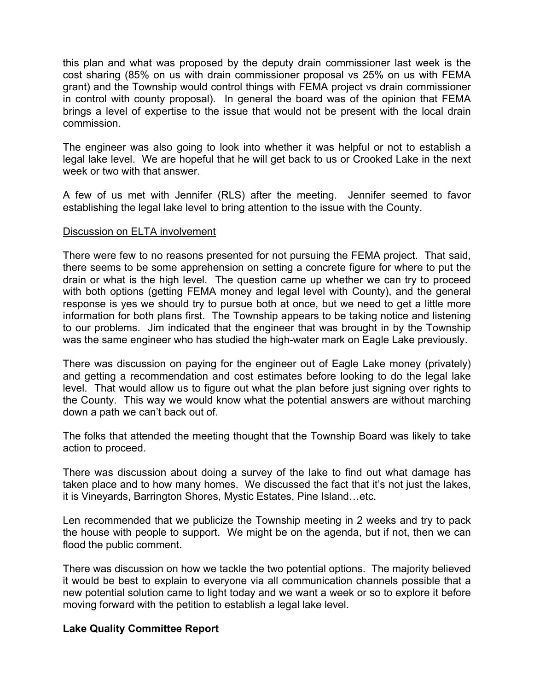this plan and what was proposed by the deputy drain commissioner last week is the cost sharing (85% on us with drain commissioner proposal vs 25% on us with FEMA grant) and the Township would control things with FEMA project vs drain commissioner in control with county proposal). In general the board was of the opinion that FEMA brings a level of expertise to the issue that would not be present with the local drain commission.

The engineer was also going to look into whether it was helpful or not to establish a legal lake level. We are hopeful that he will get back to us or Crooked Lake in the next week or two with that answer.

A few of us met with Jennifer (RLS) after the meeting. Jennifer seemed to favor establishing the legal lake level to bring attention to the issue with the County.

#### Discussion on ELTA involvement

There were few to no reasons presented for not pursuing the FEMA project. That said, there seems to be some apprehension on setting a concrete figure for where to put the drain or what is the high level. The question came up whether we can try to proceed with both options (getting FEMA money and legal level with County), and the general response is yes we should try to pursue both at once, but we need to get a little more information for both plans first. The Township appears to be taking notice and listening to our problems. Jim indicated that the engineer that was brought in by the Township was the same engineer who has studied the high-water mark on Eagle Lake previously.

There was discussion on paying for the engineer out of Eagle Lake money (privately) and getting a recommendation and cost estimates before looking to do the legal lake level. That would allow us to figure out what the plan before just signing over rights to the County. This way we would know what the potential answers are without marching down a path we can't back out of.

The folks that attended the meeting thought that the Township Board was likely to take action to proceed.

There was discussion about doing a survey of the lake to find out what damage has taken place and to how many homes. We discussed the fact that it's not just the lakes, it is Vineyards, Barrington Shores, Mystic Estates, Pine Island…etc.

Len recommended that we publicize the Township meeting in 2 weeks and try to pack the house with people to support. We might be on the agenda, but if not, then we can flood the public comment.

There was discussion on how we tackle the two potential options. The majority believed it would be best to explain to everyone via all communication channels possible that a new potential solution came to light today and we want a week or so to explore it before moving forward with the petition to establish a legal lake level.

#### **Lake Quality Committee Report**